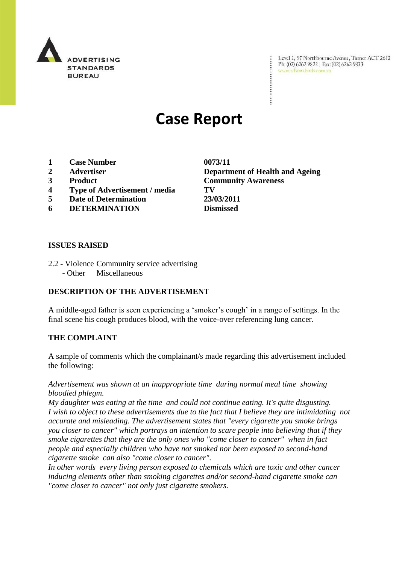

Level 2, 97 Northbourne Avenue, Turner ACT 2612 Ph: (02) 6262 9822 | Fax: (02) 6262 9833 www.adstandards.com.au

# **Case Report**

- **1 Case Number 0073/11**
- 
- 
- **4 Type of Advertisement / media TV**
- **5 Date of Determination 23/03/2011**
- **6 DETERMINATION Dismissed**

# **ISSUES RAISED**

- 2.2 Violence Community service advertising
	- Other Miscellaneous

## **DESCRIPTION OF THE ADVERTISEMENT**

A middle-aged father is seen experiencing a "smoker"s cough" in a range of settings. In the final scene his cough produces blood, with the voice-over referencing lung cancer.

#### **THE COMPLAINT**

A sample of comments which the complainant/s made regarding this advertisement included the following:

*Advertisement was shown at an inappropriate time during normal meal time showing bloodied phlegm.*

*My daughter was eating at the time and could not continue eating. It's quite disgusting. I wish to object to these advertisements due to the fact that I believe they are intimidating not accurate and misleading. The advertisement states that "every cigarette you smoke brings you closer to cancer" which portrays an intention to scare people into believing that if they smoke cigarettes that they are the only ones who "come closer to cancer" when in fact people and especially children who have not smoked nor been exposed to second-hand cigarette smoke can also "come closer to cancer".*

*In other words every living person exposed to chemicals which are toxic and other cancer inducing elements other than smoking cigarettes and/or second-hand cigarette smoke can "come closer to cancer" not only just cigarette smokers.*

**2 Advertiser Department of Health and Ageing 3 Product Community Awareness**

 $\ddot{\cdot}$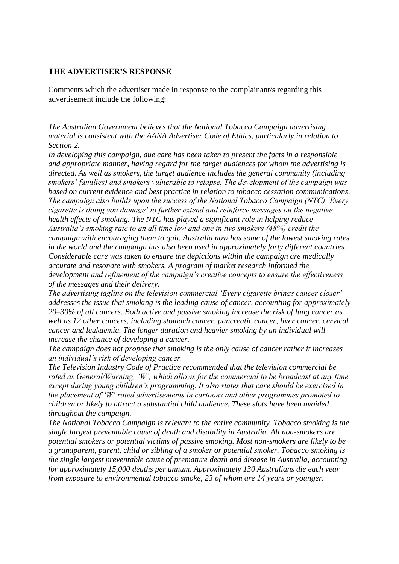#### **THE ADVERTISER'S RESPONSE**

Comments which the advertiser made in response to the complainant/s regarding this advertisement include the following:

*The Australian Government believes that the National Tobacco Campaign advertising material is consistent with the AANA Advertiser Code of Ethics, particularly in relation to Section 2.* 

*In developing this campaign, due care has been taken to present the facts in a responsible and appropriate manner, having regard for the target audiences for whom the advertising is directed. As well as smokers, the target audience includes the general community (including smokers' families) and smokers vulnerable to relapse. The development of the campaign was based on current evidence and best practice in relation to tobacco cessation communications. The campaign also builds upon the success of the National Tobacco Campaign (NTC) 'Every cigarette is doing you damage' to further extend and reinforce messages on the negative health effects of smoking. The NTC has played a significant role in helping reduce Australia's smoking rate to an all time low and one in two smokers (48%) credit the campaign with encouraging them to quit. Australia now has some of the lowest smoking rates in the world and the campaign has also been used in approximately forty different countries. Considerable care was taken to ensure the depictions within the campaign are medically accurate and resonate with smokers. A program of market research informed the development and refinement of the campaign's creative concepts to ensure the effectiveness of the messages and their delivery.*

*The advertising tagline on the television commercial 'Every cigarette brings cancer closer' addresses the issue that smoking is the leading cause of cancer, accounting for approximately 20–30% of all cancers. Both active and passive smoking increase the risk of lung cancer as well as 12 other cancers, including stomach cancer, pancreatic cancer, liver cancer, cervical cancer and leukaemia. The longer duration and heavier smoking by an individual will increase the chance of developing a cancer.* 

*The campaign does not propose that smoking is the only cause of cancer rather it increases an individual's risk of developing cancer.*

*The Television Industry Code of Practice recommended that the television commercial be rated as General/Warning, 'W', which allows for the commercial to be broadcast at any time except during young children's programming. It also states that care should be exercised in the placement of 'W' rated advertisements in cartoons and other programmes promoted to children or likely to attract a substantial child audience. These slots have been avoided throughout the campaign.*

*The National Tobacco Campaign is relevant to the entire community. Tobacco smoking is the single largest preventable cause of death and disability in Australia. All non-smokers are potential smokers or potential victims of passive smoking. Most non-smokers are likely to be a grandparent, parent, child or sibling of a smoker or potential smoker. Tobacco smoking is the single largest preventable cause of premature death and disease in Australia, accounting for approximately 15,000 deaths per annum. Approximately 130 Australians die each year from exposure to environmental tobacco smoke, 23 of whom are 14 years or younger.*